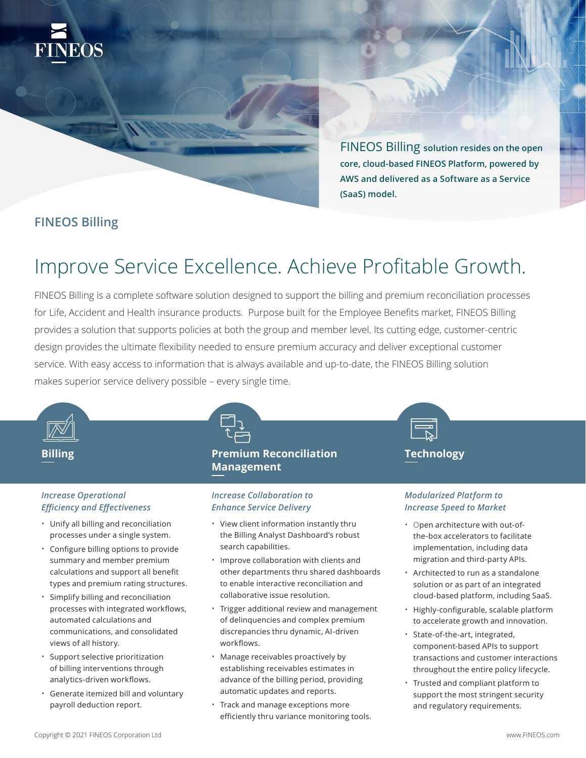

FINEOS Billing **solution resides on the open core, cloud-based FINEOS Platform, powered by AWS and delivered as a Software as a Service (SaaS) model.** 

### **FINEOS Billing**

# Improve Service Excellence. Achieve Profitable Growth.

FINEOS Billing is a complete software solution designed to support the billing and premium reconciliation processes for Life, Accident and Health insurance products. Purpose built for the Employee Benefits market, FINEOS Billing provides a solution that supports policies at both the group and member level. Its cutting edge, customer-centric design provides the ultimate flexibility needed to ensure premium accuracy and deliver exceptional customer service. With easy access to information that is always available and up-to-date, the FINEOS Billing solution makes superior service delivery possible – every single time.



### *Increase Operational Efficiency and Effectiveness*

- Unify all billing and reconciliation processes under a single system.
- Configure billing options to provide summary and member premium calculations and support all benefit types and premium rating structures.
- Simplify billing and reconciliation processes with integrated workflows, automated calculations and communications, and consolidated views of all history.
- Support selective prioritization of billing interventions through analytics-driven workflows.
- Generate itemized bill and voluntary payroll deduction report.



### *Increase Collaboration to Enhance Service Delivery*

- View client information instantly thru the Billing Analyst Dashboard's robust search capabilities.
- Improve collaboration with clients and other departments thru shared dashboards to enable interactive reconciliation and collaborative issue resolution.
- Trigger additional review and management of delinquencies and complex premium discrepancies thru dynamic, AI-driven workflows.
- Manage receivables proactively by establishing receivables estimates in advance of the billing period, providing automatic updates and reports.
- Track and manage exceptions more efficiently thru variance monitoring tools.



### *Modularized Platform to Increase Speed to Market*

- Open architecture with out-ofthe-box accelerators to facilitate implementation, including data migration and third-party APIs.
- Architected to run as a standalone solution or as part of an integrated cloud-based platform, including SaaS.
- Highly-configurable, scalable platform to accelerate growth and innovation.
- State-of-the-art, integrated, component-based APIs to support transactions and customer interactions throughout the entire policy lifecycle.
- Trusted and compliant platform to support the most stringent security and regulatory requirements.